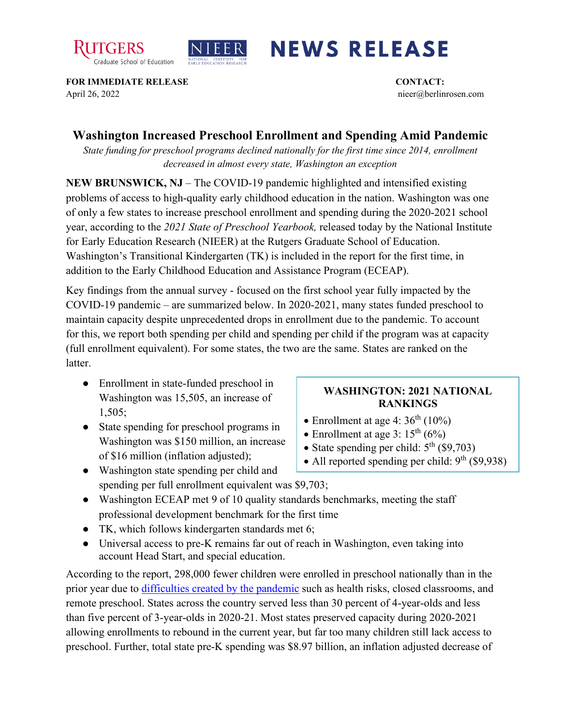



## **NEWS RELEASE**

**FOR IMMEDIATE RELEASE CONTACT:**  April 26, 2022 nieer@berlinrosen.com

## **Washington Increased Preschool Enrollment and Spending Amid Pandemic**

*State funding for preschool programs declined nationally for the first time since 2014, enrollment decreased in almost every state, Washington an exception*

**NEW BRUNSWICK, NJ** – The COVID-19 pandemic highlighted and intensified existing problems of access to high-quality early childhood education in the nation. Washington was one of only a few states to increase preschool enrollment and spending during the 2020-2021 school year, according to the *2021 State of Preschool Yearbook,* released today by the National Institute for Early Education Research (NIEER) at the Rutgers Graduate School of Education. Washington's Transitional Kindergarten (TK) is included in the report for the first time, in addition to the Early Childhood Education and Assistance Program (ECEAP).

Key findings from the annual survey - focused on the first school year fully impacted by the COVID-19 pandemic – are summarized below. In 2020-2021, many states funded preschool to maintain capacity despite unprecedented drops in enrollment due to the pandemic. To account for this, we report both spending per child and spending per child if the program was at capacity (full enrollment equivalent). For some states, the two are the same. States are ranked on the latter.

- Enrollment in state-funded preschool in Washington was 15,505, an increase of 1,505;
- State spending for preschool programs in Washington was \$150 million, an increase of \$16 million (inflation adjusted);

## **WASHINGTON: 2021 NATIONAL RANKINGS**

- Enrollment at age 4:  $36<sup>th</sup>$  (10%)
- Enrollment at age 3:  $15<sup>th</sup>(6%)$
- State spending per child:  $5<sup>th</sup>$  (\$9,703)
- All reported spending per child:  $9<sup>th</sup>$  (\$9,938)
- Washington state spending per child and spending per full enrollment equivalent was \$9,703;
- Washington ECEAP met 9 of 10 quality standards benchmarks, meeting the staff professional development benchmark for the first time
- TK, which follows kindergarten standards met 6;
- Universal access to pre-K remains far out of reach in Washington, even taking into account Head Start, and special education.

According to the report, 298,000 fewer children were enrolled in preschool nationally than in the prior year due to [difficulties created by the pandemic](https://nieer.org/wp-content/uploads/2021/02/NIEER_Seven_Impacts_of_the_Pandemic_on_Young_Children_and_their_Parents.pdf) such as health risks, closed classrooms, and remote preschool. States across the country served less than 30 percent of 4-year-olds and less than five percent of 3-year-olds in 2020-21. Most states preserved capacity during 2020-2021 allowing enrollments to rebound in the current year, but far too many children still lack access to preschool. Further, total state pre-K spending was \$8.97 billion, an inflation adjusted decrease of